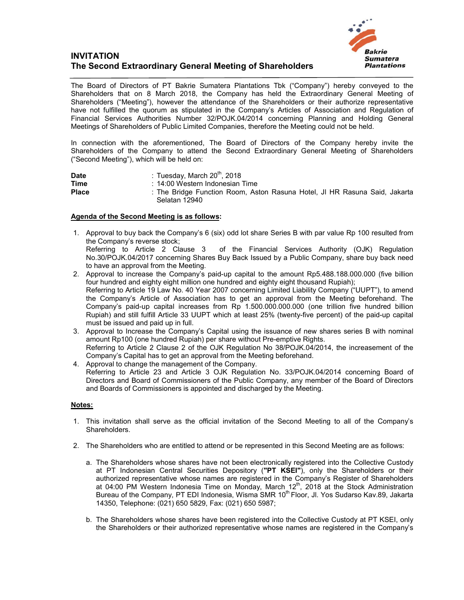## **INVITATION The Second Extraordinary General Meeting of Shareholders**



The Board of Directors of PT Bakrie Sumatera Plantations Tbk ("Company") hereby conveyed to the Shareholders that on 8 March 2018, the Company has held the Extraordinary General Meeting of Shareholders ("Meeting"), however the attendance of the Shareholders or their authorize representative have not fulfilled the quorum as stipulated in the Company's Articles of Association and Regulation of Financial Services Authorities Number 32/POJK.04/2014 concerning Planning and Holding General Meetings of Shareholders of Public Limited Companies, therefore the Meeting could not be held.

In connection with the aforementioned, The Board of Directors of the Company hereby invite the Shareholders of the Company to attend the Second Extraordinary General Meeting of Shareholders ("Second Meeting"), which will be held on:

| <b>Date</b>  | : Tuesday, March $20^{\text{th}}$ , 2018                                                    |
|--------------|---------------------------------------------------------------------------------------------|
| <b>Time</b>  | : 14:00 Western Indonesian Time                                                             |
| <b>Place</b> | : The Bridge Function Room, Aston Rasuna Hotel, JI HR Rasuna Said, Jakarta<br>Selatan 12940 |

## **Agenda of the Second Meeting is as follows:**

- 1. Approval to buy back the Company's 6 (six) odd lot share Series B with par value Rp 100 resulted from the Company's reverse stock;<br>Referring to Article 2 Clause 3 of the Financial Services Authority (OJK) Regulation No.30/POJK.04/2017 concerning Shares Buy Back Issued by a Public Company, share buy back need to have an approval from the Meeting.
- 2. Approval to increase the Company's paid-up capital to the amount Rp5.488.188.000.000 (five billion four hundred and eighty eight million one hundred and eighty eight thousand Rupiah); Referring to Article 19 Law No. 40 Year 2007 concerning Limited Liability Company ("UUPT"), to amend the Company's Article of Association has to get an approval from the Meeting beforehand. The Company's paid-up capital increases from Rp 1.500.000.000.000 (one trillion five hundred billion Rupiah) and still fulfill Article 33 UUPT which at least 25% (twenty-five percent) of the paid-up capital must be issued and paid up in full.
- 3. Approval to Increase the Company's Capital using the issuance of new shares series B with nominal amount Rp100 (one hundred Rupiah) per share without Pre-emptive Rights. Referring to Article 2 Clause 2 of the OJK Regulation No 38/POJK.04/2014, the increasement of the Company's Capital has to get an approval from the Meeting beforehand.
- 4. Approval to change the management of the Company. Referring to Article 23 and Article 3 OJK Regulation No. 33/POJK.04/2014 concerning Board of Directors and Board of Commissioners of the Public Company, any member of the Board of Directors and Boards of Commissioners is appointed and discharged by the Meeting.

## **Notes:**

- 1. This invitation shall serve as the official invitation of the Second Meeting to all of the Company's Shareholders.
- 2. The Shareholders who are entitled to attend or be represented in this Second Meeting are as follows:
	- a. The Shareholders whose shares have not been electronically registered into the Collective Custody at PT Indonesian Central Securities Depository (**"PT KSEI"**), only the Shareholders or their authorized representative whose names are registered in the Company's Register of Shareholders at 04:00 PM Western Indonesia Time on Monday, March  $12<sup>th</sup>$ , 2018 at the Stock Administration Bureau of the Company, PT EDI Indonesia, Wisma SMR 10<sup>th</sup> Floor, Jl. Yos Sudarso Kav.89, Jakarta 14350, Telephone: (021) 650 5829, Fax: (021) 650 5987;
	- b. The Shareholders whose shares have been registered into the Collective Custody at PT KSEI, only the Shareholders or their authorized representative whose names are registered in the Company's